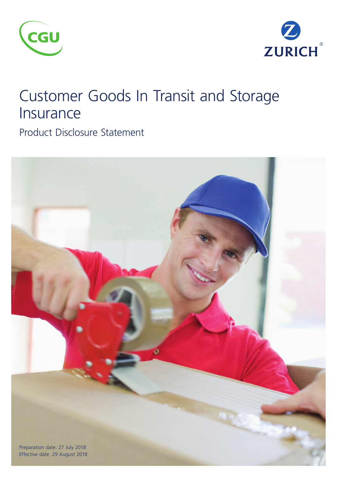



## Customer Goods In Transit and Storage Insurance

Product Disclosure Statement

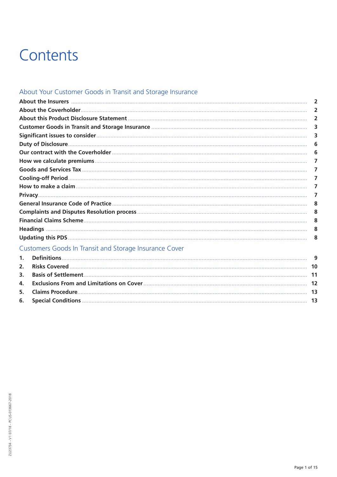# Contents

## About Your Customer Goods in Transit and Storage Insurance

|                | About the Insurers <b>communications</b> and all the Insurance contract the Insurance of the Insurance contract the Insurance of the Insurance of the Insurance of the Insurance of the Insurance of the Insurance of the Insurance | $\overline{2}$ |
|----------------|-------------------------------------------------------------------------------------------------------------------------------------------------------------------------------------------------------------------------------------|----------------|
|                |                                                                                                                                                                                                                                     | $\overline{2}$ |
|                |                                                                                                                                                                                                                                     | $\overline{2}$ |
|                |                                                                                                                                                                                                                                     | 3              |
|                |                                                                                                                                                                                                                                     | 3              |
|                |                                                                                                                                                                                                                                     | 6              |
|                |                                                                                                                                                                                                                                     | -6             |
|                |                                                                                                                                                                                                                                     | 7              |
|                |                                                                                                                                                                                                                                     | 7              |
|                |                                                                                                                                                                                                                                     | 7              |
|                |                                                                                                                                                                                                                                     | 7              |
|                |                                                                                                                                                                                                                                     | 7              |
|                |                                                                                                                                                                                                                                     | -8             |
|                |                                                                                                                                                                                                                                     | 8              |
|                |                                                                                                                                                                                                                                     | 8              |
|                |                                                                                                                                                                                                                                     | 8              |
|                |                                                                                                                                                                                                                                     | -8             |
|                | Customers Goods In Transit and Storage Insurance Cover                                                                                                                                                                              |                |
| $\mathbf{1}$ . |                                                                                                                                                                                                                                     | 9              |
| 2.             |                                                                                                                                                                                                                                     |                |
| 3.             |                                                                                                                                                                                                                                     |                |
| 4.             |                                                                                                                                                                                                                                     |                |
| 5.             |                                                                                                                                                                                                                                     |                |
| 6.             |                                                                                                                                                                                                                                     |                |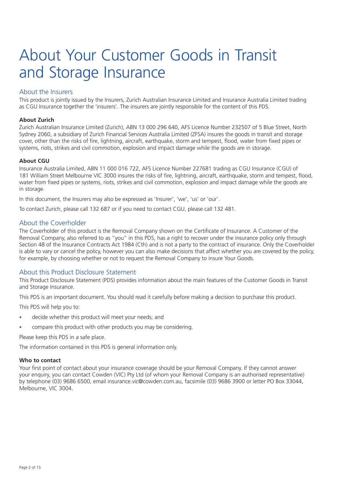# About Your Customer Goods in Transit and Storage Insurance

## About the Insurers

This product is jointly issued by the Insurers, Zurich Australian Insurance Limited and Insurance Australia Limited trading as CGU Insurance together the 'insurers'. The insurers are jointly responsible for the content of this PDS.

#### **About Zurich**

Zurich Australian Insurance Limited (Zurich), ABN 13 000 296 640, AFS Licence Number 232507 of 5 Blue Street, North Sydney 2060, a subsidiary of Zurich Financial Services Australia Limited (ZFSA) insures the goods in transit and storage cover, other than the risks of fire, lightning, aircraft, earthquake, storm and tempest, flood, water from fixed pipes or systems, riots, strikes and civil commotion, explosion and impact damage while the goods are in storage.

#### **About CGU**

Insurance Australia Limited, ABN 11 000 016 722, AFS Licence Number 227681 trading as CGU Insurance (CGU) of 181 William Street Melbourne VIC 3000 insures the risks of fire, lightning, aircraft, earthquake, storm and tempest, flood, water from fixed pipes or systems, riots, strikes and civil commotion, explosion and impact damage while the goods are in storage.

In this document, the Insurers may also be expressed as 'Insurer', 'we', 'us' or 'our'.

To contact Zurich, please call 132 687 or if you need to contact CGU, please call 132 481.

## About the Coverholder

The Coverholder of this product is the Removal Company shown on the Certificate of Insurance. A Customer of the Removal Company, also referred to as "you" in this PDS, has a right to recover under the insurance policy only through Section 48 of the Insurance Contracts Act 1984 (Cth) and is not a party to the contract of insurance. Only the Coverholder is able to vary or cancel the policy, however you can also make decisions that affect whether you are covered by the policy, for example, by choosing whether or not to request the Removal Company to insure Your Goods.

## About this Product Disclosure Statement

This Product Disclosure Statement (PDS) provides information about the main features of the Customer Goods in Transit and Storage Insurance.

This PDS is an important document. You should read it carefully before making a decision to purchase this product.

This PDS will help you to:

- decide whether this product will meet your needs; and
- compare this product with other products you may be considering.

Please keep this PDS in a safe place.

The information contained in this PDS is general information only.

#### **Who to contact**

Your first point of contact about your insurance coverage should be your Removal Company. If they cannot answer your enquiry, you can contact Cowden (VIC) Pty Ltd (of whom your Removal Company is an authorised representative) by telephone (03) 9686 6500, email insurance.vic@cowden.com.au, facsimile (03) 9686 3900 or letter PO Box 33044, Melbourne, VIC 3004.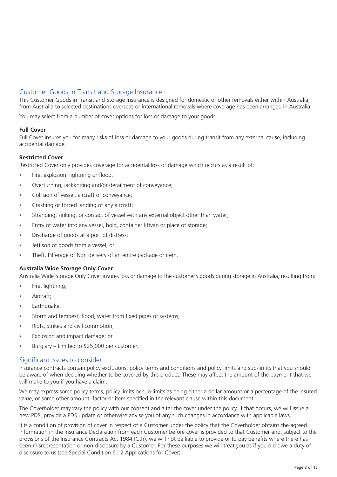## Customer Goods in Transit and Storage Insurance

This Customer Goods in Transit and Storage Insurance is designed for domestic or other removals either within Australia, from Australia to selected destinations overseas or international removals where coverage has been arranged in Australia.

You may select from a number of cover options for loss or damage to your goods.

#### **Full Cover**

Full Cover insures you for many risks of loss or damage to your goods during transit from any external cause, including accidental damage.

#### **Restricted Cover**

Restricted Cover only provides coverage for accidental loss or damage which occurs as a result of:

- Fire, explosion, lightning or flood;
- Overturning, jackknifing and/or derailment of conveyance:
- Collision of vessel, aircraft or conveyance;
- Crashing or forced landing of any aircraft;
- Stranding, sinking, or contact of vessel with any external object other than water;
- Entry of water into any vessel, hold, container liftvan or place of storage;
- Discharge of goods at a port of distress:
- Jettison of goods from a vessel; or
- Theft, Pilferage or Non delivery of an entire package or item.

#### **Australia Wide Storage Only Cover**

Australia Wide Storage Only Cover insures loss or damage to the customer's goods during storage in Australia, resulting from:

- Fire, lightning;
- Aircraft:
- Earthquake;
- Storm and tempest, flood, water from fixed pipes or systems;
- Riots, strikes and civil commotion:
- Explosion and impact damage; or
- Burglary Limited to  $$25,000$  per customer.

## Significant issues to consider

Insurance contracts contain policy exclusions, policy terms and conditions and policy limits and sub-limits that you should be aware of when deciding whether to be covered by this product. These may affect the amount of the payment that we will make to you if you have a claim.

We may express some policy terms, policy limits or sub-limits as being either a dollar amount or a percentage of the insured value, or some other amount, factor or item specified in the relevant clause within this document.

The Coverholder may vary the policy with our consent and alter the cover under the policy. If that occurs, we will issue a new PDS, provide a PDS update or otherwise advise you of any such changes in accordance with applicable laws.

It is a condition of provision of cover in respect of a Customer under the policy that the Coverholder obtains the agreed information in the Insurance Declaration from each Customer before cover is provided to that Customer and, subject to the provisions of the Insurance Contracts Act 1984 (Cth), we will not be liable to provide or to pay benefits where there has been misrepresentation or non-disclosure by a Customer. For these purposes we will treat you as if you did owe a duty of disclosure to us (see Special Condition 6.12 Applications for Cover).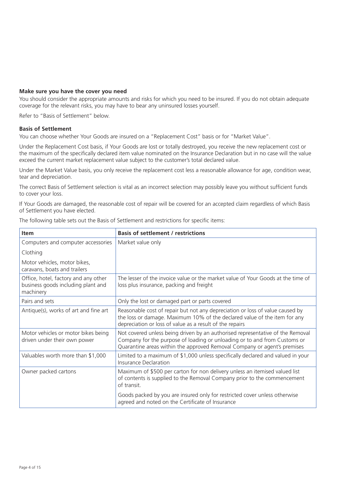#### **Make sure you have the cover you need**

You should consider the appropriate amounts and risks for which you need to be insured. If you do not obtain adequate coverage for the relevant risks, you may have to bear any uninsured losses yourself.

Refer to "Basis of Settlement" below.

#### **Basis of Settlement**

You can choose whether Your Goods are insured on a "Replacement Cost" basis or for "Market Value".

Under the Replacement Cost basis, if Your Goods are lost or totally destroyed, you receive the new replacement cost or the maximum of the specifically declared item value nominated on the Insurance Declaration but in no case will the value exceed the current market replacement value subject to the customer's total declared value.

Under the Market Value basis, you only receive the replacement cost less a reasonable allowance for age, condition wear, tear and depreciation.

The correct Basis of Settlement selection is vital as an incorrect selection may possibly leave you without sufficient funds to cover your loss.

If Your Goods are damaged, the reasonable cost of repair will be covered for an accepted claim regardless of which Basis of Settlement you have elected.

The following table sets out the Basis of Settlement and restrictions for specific items:

| <b>Item</b>                                                                             | <b>Basis of settlement / restrictions</b>                                                                                                                                                                                               |
|-----------------------------------------------------------------------------------------|-----------------------------------------------------------------------------------------------------------------------------------------------------------------------------------------------------------------------------------------|
| Computers and computer accessories                                                      | Market value only                                                                                                                                                                                                                       |
| Clothing                                                                                |                                                                                                                                                                                                                                         |
| Motor vehicles, motor bikes,<br>caravans, boats and trailers                            |                                                                                                                                                                                                                                         |
| Office, hotel, factory and any other<br>business goods including plant and<br>machinery | The lesser of the invoice value or the market value of Your Goods at the time of<br>loss plus insurance, packing and freight                                                                                                            |
| Pairs and sets                                                                          | Only the lost or damaged part or parts covered                                                                                                                                                                                          |
| Antique(s), works of art and fine art                                                   | Reasonable cost of repair but not any depreciation or loss of value caused by<br>the loss or damage. Maximum 10% of the declared value of the item for any<br>depreciation or loss of value as a result of the repairs                  |
| Motor vehicles or motor bikes being<br>driven under their own power                     | Not covered unless being driven by an authorised representative of the Removal<br>Company for the purpose of loading or unloading or to and from Customs or<br>Quarantine areas within the approved Removal Company or agent's premises |
| Valuables worth more than \$1,000                                                       | Limited to a maximum of \$1,000 unless specifically declared and valued in your<br>Insurance Declaration                                                                                                                                |
| Owner packed cartons                                                                    | Maximum of \$500 per carton for non delivery unless an itemised valued list<br>of contents is supplied to the Removal Company prior to the commencement<br>of transit.                                                                  |
|                                                                                         | Goods packed by you are insured only for restricted cover unless otherwise<br>agreed and noted on the Certificate of Insurance                                                                                                          |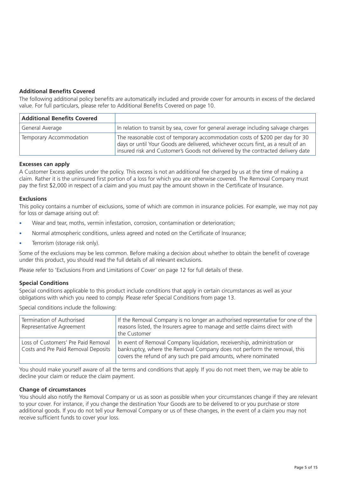### **Additional Benefits Covered**

The following additional policy benefits are automatically included and provide cover for amounts in excess of the declared value. For full particulars, please refer to Additional Benefits Covered on page 10.

| <b>Additional Benefits Covered</b> |                                                                                                                                                                                                                                                      |
|------------------------------------|------------------------------------------------------------------------------------------------------------------------------------------------------------------------------------------------------------------------------------------------------|
| General Average                    | In relation to transit by sea, cover for general average including salvage charges                                                                                                                                                                   |
| Temporary Accommodation            | The reasonable cost of temporary accommodation costs of \$200 per day for 30<br>days or until Your Goods are delivered, whichever occurs first, as a result of an<br>insured risk and Customer's Goods not delivered by the contracted delivery date |

#### **Excesses can apply**

A Customer Excess applies under the policy. This excess is not an additional fee charged by us at the time of making a claim. Rather it is the uninsured first portion of a loss for which you are otherwise covered. The Removal Company must pay the first \$2,000 in respect of a claim and you must pay the amount shown in the Certificate of Insurance.

#### **Exclusions**

This policy contains a number of exclusions, some of which are common in insurance policies. For example, we may not pay for loss or damage arising out of:

- Wear and tear, moths, vermin infestation, corrosion, contamination or deterioration;
- Normal atmospheric conditions, unless agreed and noted on the Certificate of Insurance;
- Terrorism (storage risk only).

Some of the exclusions may be less common. Before making a decision about whether to obtain the benefit of coverage under this product, you should read the full details of all relevant exclusions.

Please refer to 'Exclusions From and Limitations of Cover' on page 12 for full details of these.

#### **Special Conditions**

Special conditions applicable to this product include conditions that apply in certain circumstances as well as your obligations with which you need to comply. Please refer Special Conditions from page 13.

Special conditions include the following:

| Termination of Authorised<br>Representative Agreement                      | If the Removal Company is no longer an authorised representative for one of the<br>reasons listed, the Insurers agree to manage and settle claims direct with<br>the Customer                                           |
|----------------------------------------------------------------------------|-------------------------------------------------------------------------------------------------------------------------------------------------------------------------------------------------------------------------|
| Loss of Customers' Pre Paid Removal<br>Costs and Pre Paid Removal Deposits | In event of Removal Company liquidation, receivership, administration or<br>bankruptcy, where the Removal Company does not perform the removal, this<br>covers the refund of any such pre paid amounts, where nominated |

You should make yourself aware of all the terms and conditions that apply. If you do not meet them, we may be able to decline your claim or reduce the claim payment.

#### **Change of circumstances**

You should also notify the Removal Company or us as soon as possible when your circumstances change if they are relevant to your cover. For instance, if you change the destination Your Goods are to be delivered to or you purchase or store additional goods. If you do not tell your Removal Company or us of these changes, in the event of a claim you may not receive sufficient funds to cover your loss.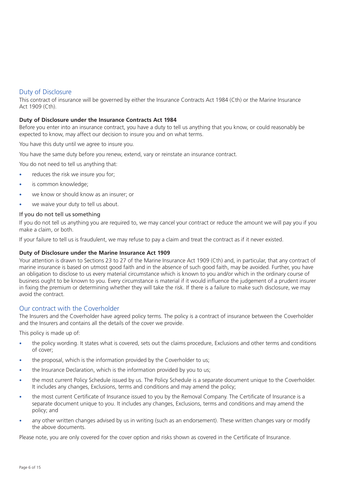## Duty of Disclosure

This contract of insurance will be governed by either the Insurance Contracts Act 1984 (Cth) or the Marine Insurance Act 1909 (Cth).

#### **Duty of Disclosure under the Insurance Contracts Act 1984**

Before you enter into an insurance contract, you have a duty to tell us anything that you know, or could reasonably be expected to know, may affect our decision to insure you and on what terms.

You have this duty until we agree to insure you.

You have the same duty before you renew, extend, vary or reinstate an insurance contract.

You do not need to tell us anything that:

- reduces the risk we insure you for;
- is common knowledge;
- we know or should know as an insurer; or
- we waive your duty to tell us about.

#### If you do not tell us something

If you do not tell us anything you are required to, we may cancel your contract or reduce the amount we will pay you if you make a claim, or both.

If your failure to tell us is fraudulent, we may refuse to pay a claim and treat the contract as if it never existed.

#### **Duty of Disclosure under the Marine Insurance Act 1909**

Your attention is drawn to Sections 23 to 27 of the Marine Insurance Act 1909 (Cth) and, in particular, that any contract of marine insurance is based on utmost good faith and in the absence of such good faith, may be avoided. Further, you have an obligation to disclose to us every material circumstance which is known to you and/or which in the ordinary course of business ought to be known to you. Every circumstance is material if it would influence the judgement of a prudent insurer in fixing the premium or determining whether they will take the risk. If there is a failure to make such disclosure, we may avoid the contract.

## Our contract with the Coverholder

The Insurers and the Coverholder have agreed policy terms. The policy is a contract of insurance between the Coverholder and the Insurers and contains all the details of the cover we provide.

This policy is made up of:

- the policy wording. It states what is covered, sets out the claims procedure, Exclusions and other terms and conditions of cover;
- the proposal, which is the information provided by the Coverholder to us;
- the Insurance Declaration, which is the information provided by you to us;
- the most current Policy Schedule issued by us. The Policy Schedule is a separate document unique to the Coverholder. It includes any changes, Exclusions, terms and conditions and may amend the policy;
- the most current Certificate of Insurance issued to you by the Removal Company. The Certificate of Insurance is a separate document unique to you. It includes any changes, Exclusions, terms and conditions and may amend the policy; and
- any other written changes advised by us in writing (such as an endorsement). These written changes vary or modify the above documents.

Please note, you are only covered for the cover option and risks shown as covered in the Certificate of Insurance.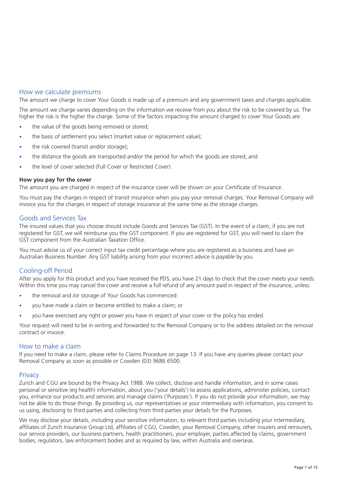## How we calculate premiums

The amount we charge to cover Your Goods is made up of a premium and any government taxes and charges applicable.

The amount we charge varies depending on the information we receive from you about the risk to be covered by us. The higher the risk is the higher the charge. Some of the factors impacting the amount charged to cover Your Goods are:

- the value of the goods being removed or stored;
- the basis of settlement you select (market value or replacement value):
- the risk covered (transit and/or storage);
- the distance the goods are transported and/or the period for which the goods are stored; and
- the level of cover selected (Full Cover or Restricted Cover).

#### **How you pay for the cover**

The amount you are charged in respect of the insurance cover will be shown on your Certificate of Insurance.

You must pay the charges in respect of transit insurance when you pay your removal charges. Your Removal Company will invoice you for the charges in respect of storage insurance at the same time as the storage charges.

#### Goods and Services Tax

The insured values that you choose should include Goods and Services Tax (GST). In the event of a claim, if you are not registered for GST, we will reimburse you the GST component. If you are registered for GST, you will need to claim the GST component from the Australian Taxation Office.

You must advise us of your correct input tax credit percentage where you are registered as a business and have an Australian Business Number. Any GST liability arising from your incorrect advice is payable by you.

## Cooling-off Period

After you apply for this product and you have received the PDS, you have 21 days to check that the cover meets your needs. Within this time you may cancel the cover and receive a full refund of any amount paid in respect of the insurance, unless:

- the removal and /or storage of Your Goods has commenced:
- you have made a claim or become entitled to make a claim; or
- you have exercised any right or power you have in respect of your cover or the policy has ended.

Your request will need to be in writing and forwarded to the Removal Company or to the address detailed on the removal contract or invoice.

#### How to make a claim

If you need to make a claim, please refer to Claims Procedure on page 13. If you have any queries please contact your Removal Company as soon as possible or Cowden (03) 9686 6500.

#### **Privacy**

Zurich and CGU are bound by the Privacy Act 1988. We collect, disclose and handle information, and in some cases personal or sensitive (eg health) information, about you ('your details') to assess applications, administer policies, contact you, enhance our products and services and manage claims ('Purposes'). If you do not provide your information, we may not be able to do those things. By providing us, our representatives or your intermediary with information, you consent to us using, disclosing to third parties and collecting from third parties your details for the Purposes.

We may disclose your details, including your sensitive information, to relevant third parties including your intermediary, affiliates of Zurich Insurance Group Ltd, affiliates of CGU, Cowden, your Removal Company, other insurers and reinsurers, our service providers, our business partners, health practitioners, your employer, parties affected by claims, government bodies, regulators, law enforcement bodies and as required by law, within Australia and overseas.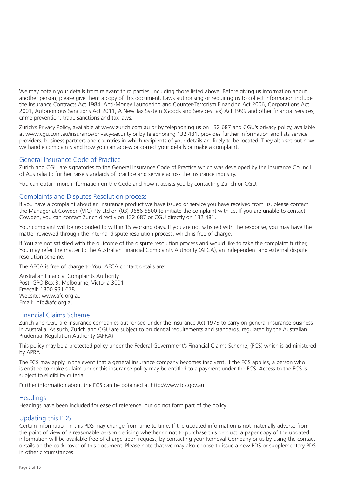We may obtain your details from relevant third parties, including those listed above. Before giving us information about another person, please give them a copy of this document. Laws authorising or requiring us to collect information include the Insurance Contracts Act 1984, Anti-Money Laundering and Counter-Terrorism Financing Act 2006, Corporations Act 2001, Autonomous Sanctions Act 2011, A New Tax System (Goods and Services Tax) Act 1999 and other financial services, crime prevention, trade sanctions and tax laws.

Zurich's Privacy Policy, available at www.zurich.com.au or by telephoning us on 132 687 and CGU's privacy policy, available at www.cgu.com.au/insurance/privacy-security or by telephoning 132 481, provides further information and lists service providers, business partners and countries in which recipients of your details are likely to be located. They also set out how we handle complaints and how you can access or correct your details or make a complaint.

## General Insurance Code of Practice

Zurich and CGU are signatories to the General Insurance Code of Practice which was developed by the Insurance Council of Australia to further raise standards of practice and service across the insurance industry.

You can obtain more information on the Code and how it assists you by contacting Zurich or CGU.

#### Complaints and Disputes Resolution process

If you have a complaint about an insurance product we have issued or service you have received from us, please contact the Manager at Cowden (VIC) Pty Ltd on (03) 9686 6500 to initiate the complaint with us. If you are unable to contact Cowden, you can contact Zurich directly on 132 687 or CGU directly on 132 481.

Your complaint will be responded to within 15 working days. If you are not satisfied with the response, you may have the matter reviewed through the internal dispute resolution process, which is free of charge.

If You are not satisfied with the outcome of the dispute resolution process and would like to take the complaint further, You may refer the matter to the Australian Financial Complaints Authority (AFCA), an independent and external dispute resolution scheme.

The AFCA is free of charge to You. AFCA contact details are:

Australian Financial Complaints Authority Post: GPO Box 3, Melbourne, Victoria 3001 Freecall: 1800 931 678 Website: www.afc.org.au Email: info@afc.org.au

## Financial Claims Scheme

Zurich and CGU are insurance companies authorised under the Insurance Act 1973 to carry on general insurance business in Australia. As such, Zurich and CGU are subject to prudential requirements and standards, regulated by the Australian Prudential Regulation Authority (APRA).

This policy may be a protected policy under the Federal Government's Financial Claims Scheme, (FCS) which is administered by APRA.

The FCS may apply in the event that a general insurance company becomes insolvent. If the FCS applies, a person who is entitled to make s claim under this insurance policy may be entitled to a payment under the FCS. Access to the FCS is subject to eligibility criteria.

Further information about the FCS can be obtained at http://www.fcs.gov.au.

#### **Headings**

Headings have been included for ease of reference, but do not form part of the policy.

## Updating this PDS

Certain information in this PDS may change from time to time. If the updated information is not materially adverse from the point of view of a reasonable person deciding whether or not to purchase this product, a paper copy of the updated information will be available free of charge upon request, by contacting your Removal Company or us by using the contact details on the back cover of this document. Please note that we may also choose to issue a new PDS or supplementary PDS in other circumstances.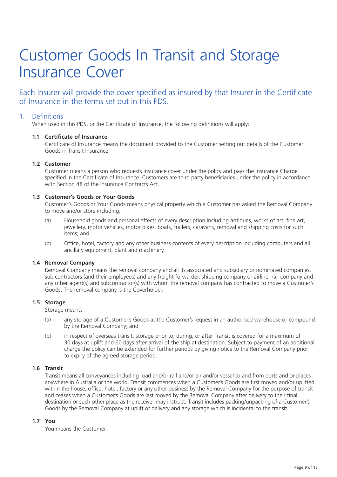## Customer Goods In Transit and Storage Insurance Cover

Each Insurer will provide the cover specified as insured by that Insurer in the Certificate of Insurance in the terms set out in this PDS.

### 1. Definitions

When used in this PDS, or the Certificate of Insurance, the following definitions will apply:

#### **1.1 Certificate of Insurance**

 Certificate of Insurance means the document provided to the Customer setting out details of the Customer Goods in Transit Insurance.

#### **1.2 Customer**

 Customer means a person who requests insurance cover under the policy and pays the Insurance Charge specified in the Certificate of Insurance. Customers are third party beneficiaries under the policy in accordance with Section 48 of the Insurance Contracts Act.

#### **1.3 Customer's Goods or Your Goods**

 Customer's Goods or Your Goods means physical property which a Customer has asked the Removal Company to move and/or store including:

- (a) Household goods and personal effects of every description including antiques, works of art, fine art, jewellery, motor vehicles, motor bikes, boats, trailers, caravans, removal and shipping costs for such items; and
- (b) Office, hotel, factory and any other business contents of every description including computers and all ancillary equipment, plant and machinery.

#### **1.4 Removal Company**

 Removal Company means the removal company and all its associated and subsidiary or nominated companies, sub contractors (and their employees) and any freight forwarder, shipping company or airline, rail company and any other agent(s) and subcontractor(s) with whom the removal company has contracted to move a Customer's Goods. The removal company is the Coverholder.

#### **1.5 Storage**

Storage means:

- (a) any storage of a Customer's Goods at the Customer's request in an authorised warehouse or compound by the Removal Company; and
- (b) in respect of overseas transit, storage prior to, during, or after Transit is covered for a maximum of 30 days at uplift and 60 days after arrival of the ship at destination. Subject to payment of an additional charge the policy can be extended for further periods by giving notice to the Removal Company prior to expiry of the agreed storage period.

#### **1.6 Transit**

 Transit means all conveyances including road and/or rail and/or air and/or vessel to and from ports and or places anywhere in Australia or the world. Transit commences when a Customer's Goods are first moved and/or uplifted within the house, office, hotel, factory or any other business by the Removal Company for the purpose of transit and ceases when a Customer's Goods are last moved by the Removal Company after delivery to their final destination or such other place as the receiver may instruct. Transit includes packing/unpacking of a Customer's Goods by the Removal Company at uplift or delivery and any storage which is incidental to the transit.

#### **1.7 You**

You means the Customer.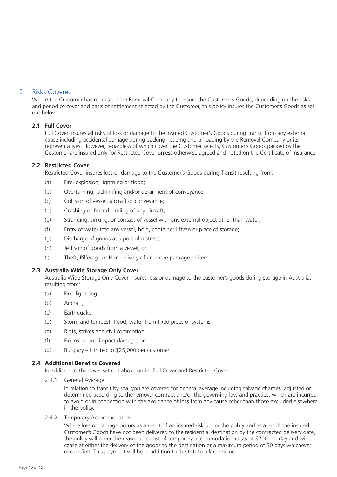## 2. Risks Covered

Where the Customer has requested the Removal Company to insure the Customer's Goods, depending on the risks and period of cover and basis of settlement selected by the Customer, this policy insures the Customer's Goods as set out below:

#### **2.1 Full Cover**

 Full Cover insures all risks of loss or damage to the insured Customer's Goods during Transit from any external cause including accidental damage during packing, loading and unloading by the Removal Company or its representatives. However, regardless of which cover the Customer selects, Customer's Goods packed by the Customer are insured only for Restricted Cover unless otherwise agreed and noted on the Certificate of Insurance.

#### **2.2 Restricted Cover**

Restricted Cover insures loss or damage to the Customer's Goods during Transit resulting from:

- (a) Fire, explosion, lightning or flood;
- (b) Overturning, jackknifing and/or derailment of conveyance;
- (c) Collision of vessel, aircraft or conveyance;
- (d) Crashing or forced landing of any aircraft;
- (e) Stranding, sinking, or contact of vessel with any external object other than water;
- (f) Entry of water into any vessel, hold, container liftvan or place of storage;
- (g) Discharge of goods at a port of distress;
- (h) Jettison of goods from a vessel; or
- (i) Theft, Pilferage or Non delivery of an entire package or item.

#### **2.3 Australia Wide Storage Only Cover**

 Australia Wide Storage Only Cover insures loss or damage to the customer's goods during storage in Australia, resulting from:

- (a) Fire, lightning;
- (b) Aircraft;
- (c) Earthquake;
- (d) Storm and tempest, flood, water from fixed pipes or systems;
- (e) Riots, strikes and civil commotion;
- (f) Explosion and impact damage; or
- (g) Burglary Limited to \$25,000 per customer.

#### **2.4 Additional Benefits Covered**

In addition to the cover set out above under Full Cover and Restricted Cover:

2.4.1 General Average

 In relation to transit by sea, you are covered for general average including salvage charges. adjusted or determined according to the removal contract and/or the governing law and practice, which are incurred to avoid or in connection with the avoidance of loss from any cause other than those excluded elsewhere in the policy.

2.4.2 Temporary Accommodation

 Where loss or damage occurs as a result of an insured risk under the policy and as a result the insured Customer's Goods have not been delivered to the residential destination by the contracted delivery date, the policy will cover the reasonable cost of temporary accommodation costs of \$200 per day and will cease at either the delivery of the goods to the destination or a maximum period of 30 days whichever occurs first. This payment will be in addition to the total declared value.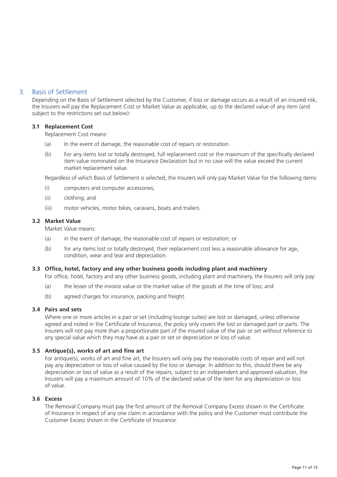## 3. Basis of Settlement

Depending on the Basis of Settlement selected by the Customer, if loss or damage occurs as a result of an insured risk, the Insurers will pay the Replacement Cost or Market Value as applicable, up to the declared value of any item (and subject to the restrictions set out below):

#### **3.1 Replacement Cost**

Replacement Cost means:

- (a) In the event of damage, the reasonable cost of repairs or restoration.
- (b) For any items lost or totally destroyed, full replacement cost or the maximum of the specifically declared item value nominated on the Insurance Declaration but in no case will the value exceed the current market replacement value.

Regardless of which Basis of Settlement is selected, the Insurers will only pay Market Value for the following items:

- (i) computers and computer accessories;
- (ii) clothing; and
- (iii) motor vehicles, motor bikes, caravans, boats and trailers.

#### **3.2 Market Value**

Market Value means:

- (a) in the event of damage, the reasonable cost of repairs or restoration; or
- (b) for any items lost or totally destroyed, their replacement cost less a reasonable allowance for age, condition, wear and tear and depreciation.

#### **3.3 Office, hotel, factory and any other business goods including plant and machinery**

For office, hotel, factory and any other business goods, including plant and machinery, the Insurers will only pay:

- (a) the lesser of the invoice value or the market value of the goods at the time of loss; and
- (b) agreed charges for insurance, packing and freight.

#### **3.4 Pairs and sets**

 Where one or more articles in a pair or set (including lounge suites) are lost or damaged, unless otherwise agreed and noted in the Certificate of Insurance, the policy only covers the lost or damaged part or parts. The Insurers will not pay more than a proportionate part of the insured value of the pair or set without reference to any special value which they may have as a pair or set or depreciation or loss of value.

#### **3.5 Antique(s), works of art and fine art**

 For antique(s), works of art and fine art, the Insurers will only pay the reasonable costs of repair and will not pay any depreciation or loss of value caused by the loss or damage. In addition to this, should there be any depreciation or loss of value as a result of the repairs, subject to an independent and approved valuation, the Insurers will pay a maximum amount of 10% of the declared value of the item for any depreciation or loss of value.

#### **3.6 Excess**

 The Removal Company must pay the first amount of the Removal Company Excess shown in the Certificate of Insurance in respect of any one claim in accordance with the policy and the Customer must contribute the Customer Excess shown in the Certificate of Insurance.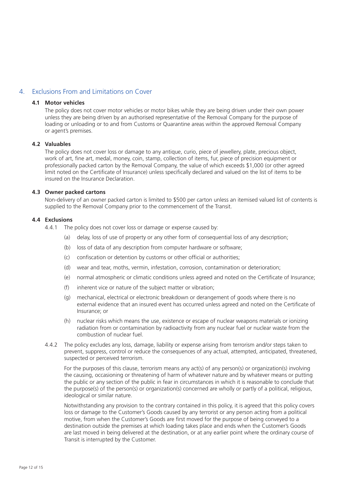## 4. Exclusions From and Limitations on Cover

#### **4.1 Motor vehicles**

 The policy does not cover motor vehicles or motor bikes while they are being driven under their own power unless they are being driven by an authorised representative of the Removal Company for the purpose of loading or unloading or to and from Customs or Quarantine areas within the approved Removal Company or agent's premises.

#### **4.2 Valuables**

 The policy does not cover loss or damage to any antique, curio, piece of jewellery, plate, precious object, work of art, fine art, medal, money, coin, stamp, collection of items, fur, piece of precision equipment or professionally packed carton by the Removal Company, the value of which exceeds \$1,000 (or other agreed limit noted on the Certificate of Insurance) unless specifically declared and valued on the list of items to be insured on the Insurance Declaration.

#### **4.3 Owner packed cartons**

 Non-delivery of an owner packed carton is limited to \$500 per carton unless an itemised valued list of contents is supplied to the Removal Company prior to the commencement of the Transit.

#### **4.4 Exclusions**

- 4.4.1 The policy does not cover loss or damage or expense caused by:
	- (a) delay, loss of use of property or any other form of consequential loss of any description;
	- (b) loss of data of any description from computer hardware or software;
	- (c) confiscation or detention by customs or other official or authorities;
	- (d) wear and tear, moths, vermin, infestation, corrosion, contamination or deterioration;
	- (e) normal atmospheric or climatic conditions unless agreed and noted on the Certificate of Insurance;
	- (f) inherent vice or nature of the subject matter or vibration;
	- (g) mechanical, electrical or electronic breakdown or derangement of goods where there is no external evidence that an insured event has occurred unless agreed and noted on the Certificate of Insurance; or
	- (h) nuclear risks which means the use, existence or escape of nuclear weapons materials or ionizing radiation from or contamination by radioactivity from any nuclear fuel or nuclear waste from the combustion of nuclear fuel.
- 4.4.2 The policy excludes any loss, damage, liability or expense arising from terrorism and/or steps taken to prevent, suppress, control or reduce the consequences of any actual, attempted, anticipated, threatened, suspected or perceived terrorism.

 For the purposes of this clause, terrorism means any act(s) of any person(s) or organization(s) involving the causing, occasioning or threatening of harm of whatever nature and by whatever means or putting the public or any section of the public in fear in circumstances in which it is reasonable to conclude that the purpose(s) of the person(s) or organization(s) concerned are wholly or partly of a political, religious, ideological or similar nature.

 Notwithstanding any provision to the contrary contained in this policy, it is agreed that this policy covers loss or damage to the Customer's Goods caused by any terrorist or any person acting from a political motive, from when the Customer's Goods are first moved for the purpose of being conveyed to a destination outside the premises at which loading takes place and ends when the Customer's Goods are last moved in being delivered at the destination, or at any earlier point where the ordinary course of Transit is interrupted by the Customer.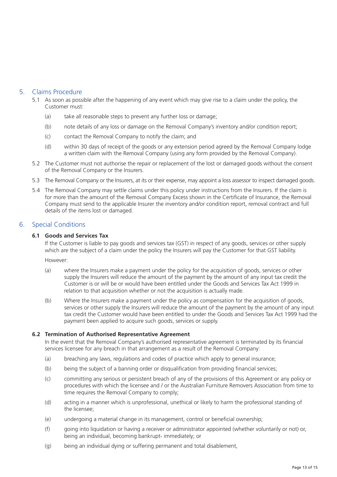## 5. Claims Procedure

- 5.1 As soon as possible after the happening of any event which may give rise to a claim under the policy, the Customer must:
	- (a) take all reasonable steps to prevent any further loss or damage;
	- (b) note details of any loss or damage on the Removal Company's inventory and/or condition report;
	- (c) contact the Removal Company to notify the claim; and
	- (d) within 30 days of receipt of the goods or any extension period agreed by the Removal Company lodge a written claim with the Removal Company (using any form provided by the Removal Company).
- 5.2 The Customer must not authorise the repair or replacement of the lost or damaged goods without the consent of the Removal Company or the Insurers.
- 5.3 The Removal Company or the Insurers, at its or their expense, may appoint a loss assessor to inspect damaged goods.
- 5.4 The Removal Company may settle claims under this policy under instructions from the Insurers. If the claim is for more than the amount of the Removal Company Excess shown in the Certificate of Insurance, the Removal Company must send to the applicable Insurer the inventory and/or condition report, removal contract and full details of the items lost or damaged.

#### 6. Special Conditions

#### **6.1 Goods and Services Tax**

 If the Customer is liable to pay goods and services tax (GST) in respect of any goods, services or other supply which are the subject of a claim under the policy the Insurers will pay the Customer for that GST liability.

However:

- (a) where the Insurers make a payment under the policy for the acquisition of goods, services or other supply the Insurers will reduce the amount of the payment by the amount of any input tax credit the Customer is or will be or would have been entitled under the Goods and Services Tax Act 1999 in relation to that acquisition whether or not the acquisition is actually made.
- (b) Where the Insurers make a payment under the policy as compensation for the acquisition of goods, services or other supply the Insurers will reduce the amount of the payment by the amount of any input tax credit the Customer would have been entitled to under the Goods and Services Tax Act 1999 had the payment been applied to acquire such goods, services or supply.

#### **6.2 Termination of Authorised Representative Agreement**

 In the event that the Removal Company's authorised representative agreement is terminated by its financial services licensee for any breach in that arrangement as a result of the Removal Company:

- (a) breaching any laws, regulations and codes of practice which apply to general insurance;
- (b) being the subject of a banning order or disqualification from providing financial services;
- (c) committing any serious or persistent breach of any of the provisions of this Agreement or any policy or procedures with which the licensee and / or the Australian Furniture Removers Association from time to time requires the Removal Company to comply;
- (d) acting in a manner which is unprofessional, unethical or likely to harm the professional standing of the licensee;
- (e) undergoing a material change in its management, control or beneficial ownership;
- (f) going into liquidation or having a receiver or administrator appointed (whether voluntarily or not) or, being an individual, becoming bankrupt- immediately; or
- (g) being an individual dying or suffering permanent and total disablement,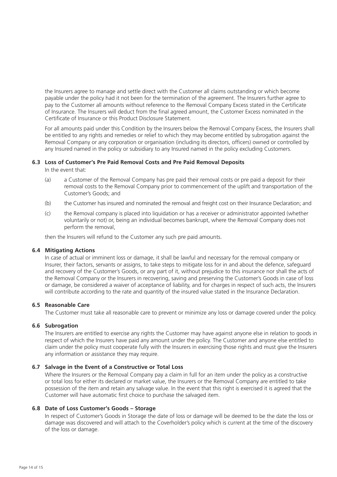the Insurers agree to manage and settle direct with the Customer all claims outstanding or which become payable under the policy had it not been for the termination of the agreement. The Insurers further agree to pay to the Customer all amounts without reference to the Removal Company Excess stated in the Certificate of Insurance. The Insurers will deduct from the final agreed amount, the Customer Excess nominated in the Certificate of Insurance or this Product Disclosure Statement.

 For all amounts paid under this Condition by the Insurers below the Removal Company Excess, the Insurers shall be entitled to any rights and remedies or relief to which they may become entitled by subrogation against the Removal Company or any corporation or organisation (including its directors, officers) owned or controlled by any Insured named in the policy or subsidiary to any Insured named in the policy excluding Customers.

#### **6.3 Loss of Customer's Pre Paid Removal Costs and Pre Paid Removal Deposits**

In the event that:

- (a) a Customer of the Removal Company has pre paid their removal costs or pre paid a deposit for their removal costs to the Removal Company prior to commencement of the uplift and transportation of the Customer's Goods; and
- (b) the Customer has insured and nominated the removal and freight cost on their Insurance Declaration; and
- (c) the Removal company is placed into liquidation or has a receiver or administrator appointed (whether voluntarily or not) or, being an individual becomes bankrupt, where the Removal Company does not perform the removal,

then the Insurers will refund to the Customer any such pre paid amounts.

#### **6.4 Mitigating Actions**

 In case of actual or imminent loss or damage, it shall be lawful and necessary for the removal company or Insurer, their factors, servants or assigns, to take steps to mitigate loss for in and about the defence, safeguard and recovery of the Customer's Goods, or any part of it, without prejudice to this insurance nor shall the acts of the Removal Company or the Insurers in recovering, saving and preserving the Customer's Goods in case of loss or damage, be considered a waiver of acceptance of liability, and for charges in respect of such acts, the Insurers will contribute according to the rate and quantity of the insured value stated in the Insurance Declaration.

#### **6.5 Reasonable Care**

The Customer must take all reasonable care to prevent or minimize any loss or damage covered under the policy.

#### **6.6 Subrogation**

 The Insurers are entitled to exercise any rights the Customer may have against anyone else in relation to goods in respect of which the Insurers have paid any amount under the policy. The Customer and anyone else entitled to claim under the policy must cooperate fully with the Insurers in exercising those rights and must give the Insurers any information or assistance they may require.

#### **6.7 Salvage in the Event of a Constructive or Total Loss**

 Where the Insurers or the Removal Company pay a claim in full for an item under the policy as a constructive or total loss for either its declared or market value, the Insurers or the Removal Company are entitled to take possession of the item and retain any salvage value. In the event that this right is exercised it is agreed that the Customer will have automatic first choice to purchase the salvaged item.

#### **6.8 Date of Loss Customer's Goods – Storage**

 In respect of Customer's Goods in Storage the date of loss or damage will be deemed to be the date the loss or damage was discovered and will attach to the Coverholder's policy which is current at the time of the discovery of the loss or damage.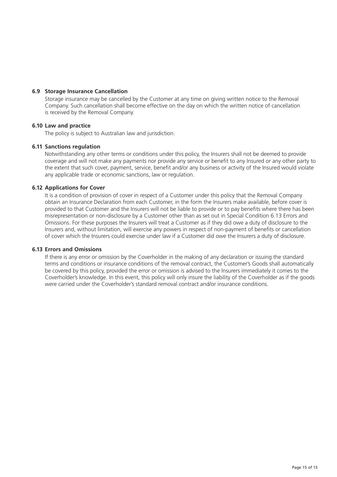#### **6.9 Storage Insurance Cancellation**

 Storage insurance may be cancelled by the Customer at any time on giving written notice to the Removal Company. Such cancellation shall become effective on the day on which the written notice of cancellation is received by the Removal Company.

### **6.10 Law and practice**

The policy is subject to Australian law and jurisdiction.

#### **6.11 Sanctions regulation**

 Notwithstanding any other terms or conditions under this policy, the Insurers shall not be deemed to provide coverage and will not make any payments nor provide any service or benefit to any Insured or any other party to the extent that such cover, payment, service, benefit and/or any business or activity of the Insured would violate any applicable trade or economic sanctions, law or regulation.

#### **6.12 Applications for Cover**

 It is a condition of provision of cover in respect of a Customer under this policy that the Removal Company obtain an Insurance Declaration from each Customer, in the form the Insurers make available, before cover is provided to that Customer and the Insurers will not be liable to provide or to pay benefits where there has been misrepresentation or non-disclosure by a Customer other than as set out in Special Condition 6.13 Errors and Omissions. For these purposes the Insurers will treat a Customer as if they did owe a duty of disclosure to the Insurers and, without limitation, will exercise any powers in respect of non-payment of benefits or cancellation of cover which the Insurers could exercise under law if a Customer did owe the Insurers a duty of disclosure.

#### **6.13 Errors and Omissions**

 If there is any error or omission by the Coverholder in the making of any declaration or issuing the standard terms and conditions or insurance conditions of the removal contract, the Customer's Goods shall automatically be covered by this policy, provided the error or omission is advised to the Insurers immediately it comes to the Coverholder's knowledge. In this event, this policy will only insure the liability of the Coverholder as if the goods were carried under the Coverholder's standard removal contract and/or insurance conditions.